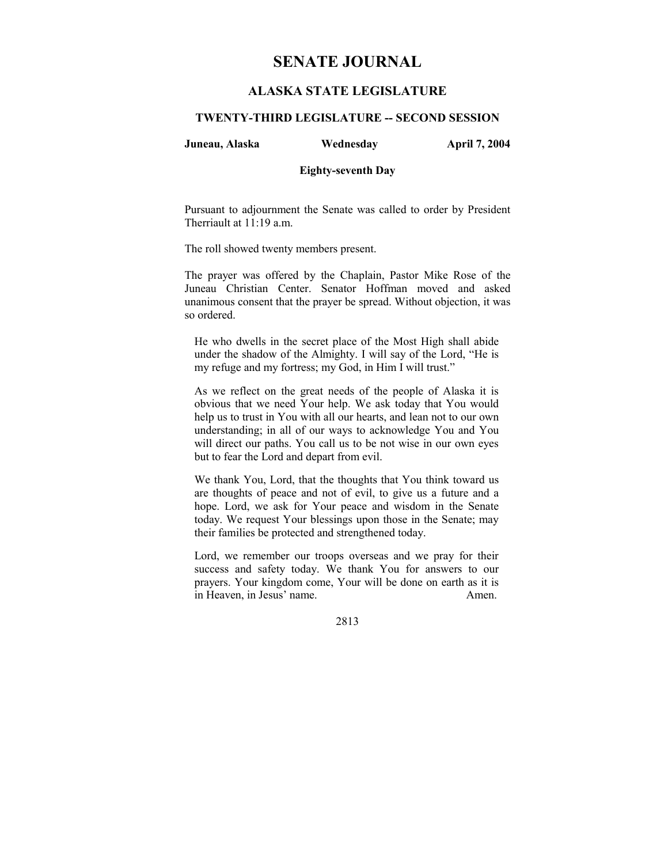# **SENATE JOURNAL**

## **ALASKA STATE LEGISLATURE**

## **TWENTY-THIRD LEGISLATURE -- SECOND SESSION**

**Juneau, Alaska Wednesday April 7, 2004** 

#### **Eighty-seventh Day**

Pursuant to adjournment the Senate was called to order by President Therriault at 11:19 a.m.

The roll showed twenty members present.

The prayer was offered by the Chaplain, Pastor Mike Rose of the Juneau Christian Center. Senator Hoffman moved and asked unanimous consent that the prayer be spread. Without objection, it was so ordered.

He who dwells in the secret place of the Most High shall abide under the shadow of the Almighty. I will say of the Lord, "He is my refuge and my fortress; my God, in Him I will trust."

As we reflect on the great needs of the people of Alaska it is obvious that we need Your help. We ask today that You would help us to trust in You with all our hearts, and lean not to our own understanding; in all of our ways to acknowledge You and You will direct our paths. You call us to be not wise in our own eyes but to fear the Lord and depart from evil.

We thank You, Lord, that the thoughts that You think toward us are thoughts of peace and not of evil, to give us a future and a hope. Lord, we ask for Your peace and wisdom in the Senate today. We request Your blessings upon those in the Senate; may their families be protected and strengthened today.

Lord, we remember our troops overseas and we pray for their success and safety today. We thank You for answers to our prayers. Your kingdom come, Your will be done on earth as it is in Heaven, in Jesus' name. Amen.

2813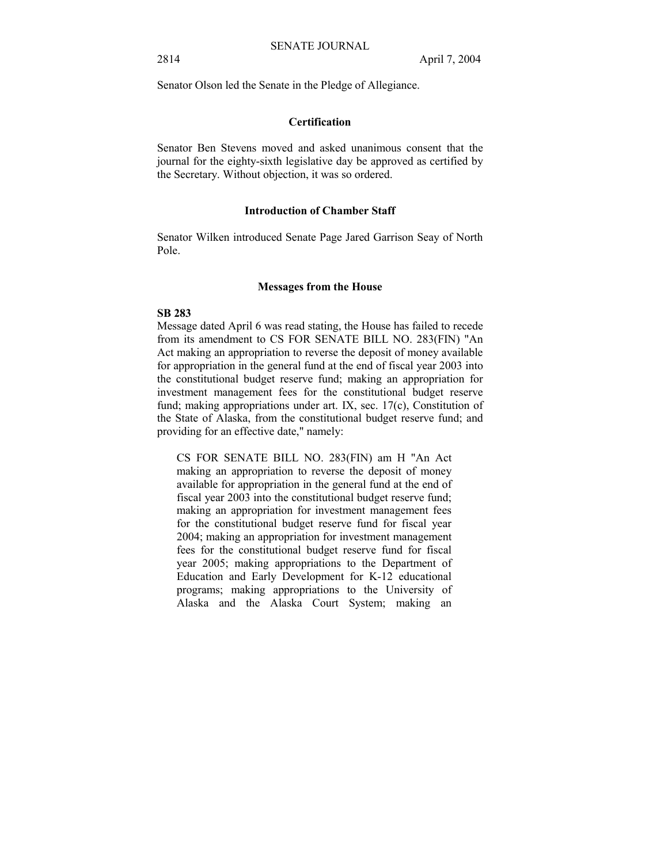Senator Olson led the Senate in the Pledge of Allegiance.

## **Certification**

Senator Ben Stevens moved and asked unanimous consent that the journal for the eighty-sixth legislative day be approved as certified by the Secretary. Without objection, it was so ordered.

#### **Introduction of Chamber Staff**

Senator Wilken introduced Senate Page Jared Garrison Seay of North Pole.

#### **Messages from the House**

#### **SB 283**

Message dated April 6 was read stating, the House has failed to recede from its amendment to CS FOR SENATE BILL NO. 283(FIN) "An Act making an appropriation to reverse the deposit of money available for appropriation in the general fund at the end of fiscal year 2003 into the constitutional budget reserve fund; making an appropriation for investment management fees for the constitutional budget reserve fund; making appropriations under art. IX, sec. 17(c), Constitution of the State of Alaska, from the constitutional budget reserve fund; and providing for an effective date," namely:

CS FOR SENATE BILL NO. 283(FIN) am H "An Act making an appropriation to reverse the deposit of money available for appropriation in the general fund at the end of fiscal year 2003 into the constitutional budget reserve fund; making an appropriation for investment management fees for the constitutional budget reserve fund for fiscal year 2004; making an appropriation for investment management fees for the constitutional budget reserve fund for fiscal year 2005; making appropriations to the Department of Education and Early Development for K-12 educational programs; making appropriations to the University of Alaska and the Alaska Court System; making an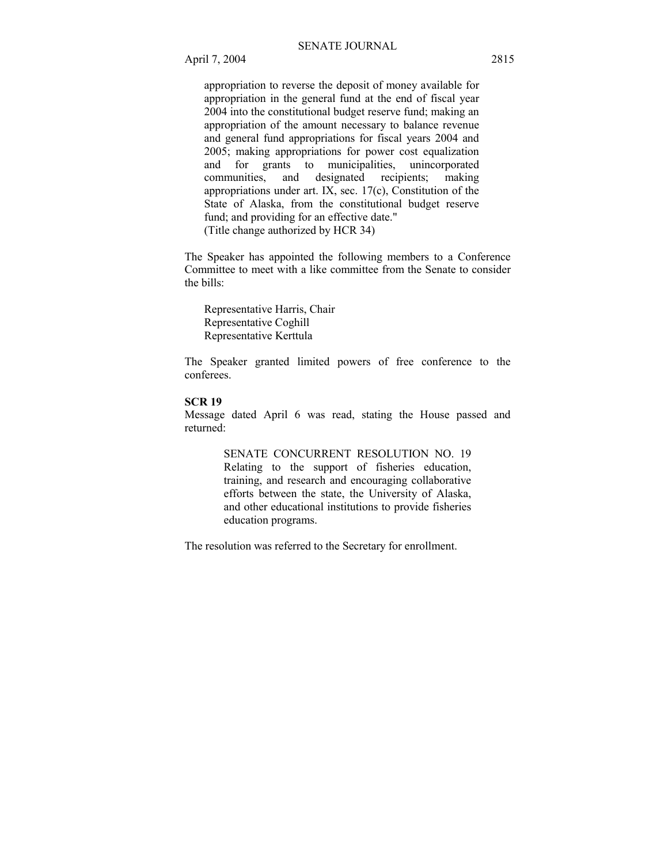appropriation to reverse the deposit of money available for appropriation in the general fund at the end of fiscal year 2004 into the constitutional budget reserve fund; making an appropriation of the amount necessary to balance revenue and general fund appropriations for fiscal years 2004 and 2005; making appropriations for power cost equalization and for grants to municipalities, unincorporated<br>communities, and designated recipients; making communities, and designated recipients; making appropriations under art. IX, sec. 17(c), Constitution of the State of Alaska, from the constitutional budget reserve fund; and providing for an effective date." (Title change authorized by HCR 34)

The Speaker has appointed the following members to a Conference Committee to meet with a like committee from the Senate to consider the bills:

 Representative Harris, Chair Representative Coghill Representative Kerttula

The Speaker granted limited powers of free conference to the conferees.

### **SCR 19**

Message dated April 6 was read, stating the House passed and returned:

> SENATE CONCURRENT RESOLUTION NO. 19 Relating to the support of fisheries education, training, and research and encouraging collaborative efforts between the state, the University of Alaska, and other educational institutions to provide fisheries education programs.

The resolution was referred to the Secretary for enrollment.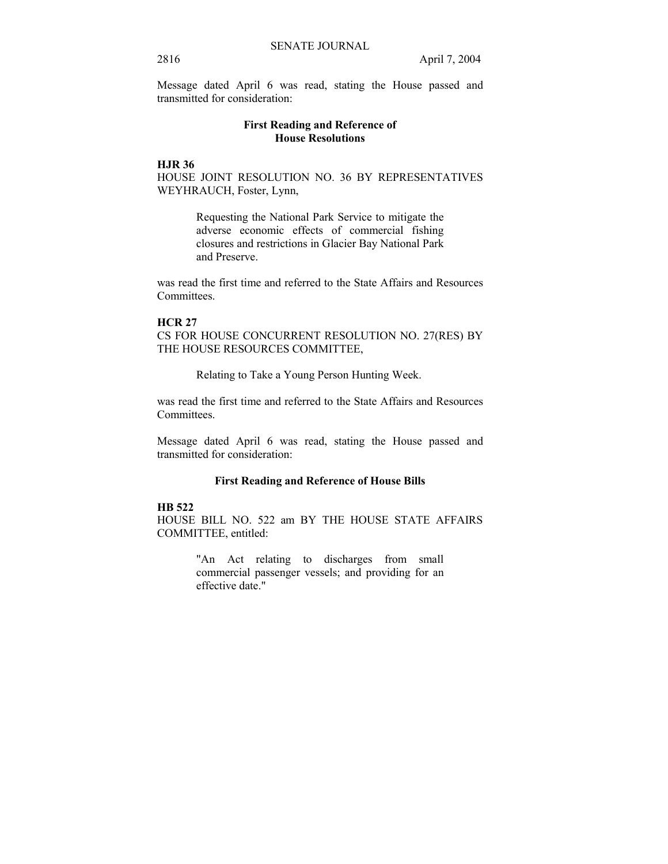Message dated April 6 was read, stating the House passed and transmitted for consideration:

## **First Reading and Reference of House Resolutions**

## **HJR 36**

HOUSE JOINT RESOLUTION NO. 36 BY REPRESENTATIVES WEYHRAUCH, Foster, Lynn,

> Requesting the National Park Service to mitigate the adverse economic effects of commercial fishing closures and restrictions in Glacier Bay National Park and Preserve.

was read the first time and referred to the State Affairs and Resources Committees.

#### **HCR 27**

CS FOR HOUSE CONCURRENT RESOLUTION NO. 27(RES) BY THE HOUSE RESOURCES COMMITTEE,

Relating to Take a Young Person Hunting Week.

was read the first time and referred to the State Affairs and Resources Committees.

Message dated April 6 was read, stating the House passed and transmitted for consideration:

### **First Reading and Reference of House Bills**

## **HB 522**

HOUSE BILL NO. 522 am BY THE HOUSE STATE AFFAIRS COMMITTEE, entitled:

> "An Act relating to discharges from small commercial passenger vessels; and providing for an effective date."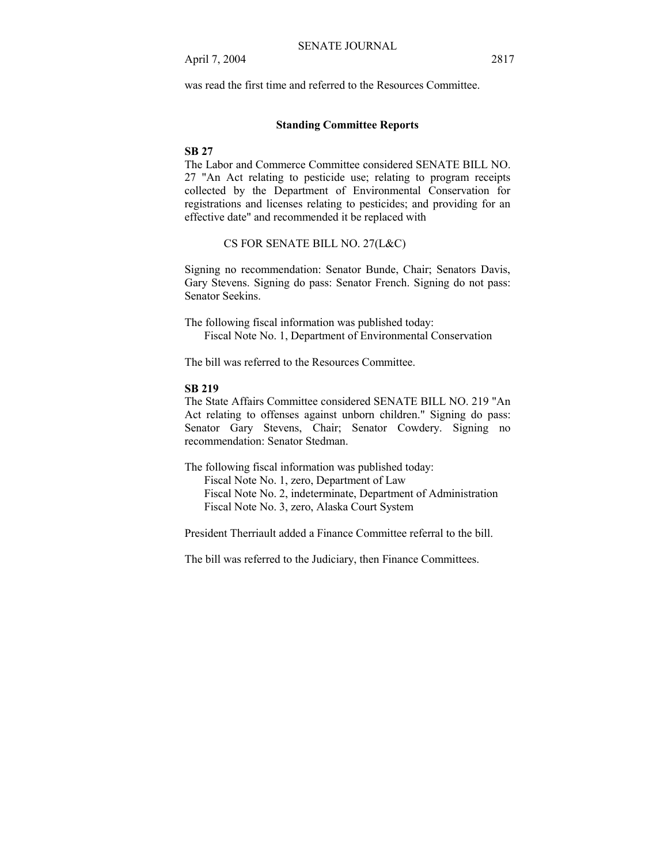was read the first time and referred to the Resources Committee.

## **Standing Committee Reports**

## **SB 27**

The Labor and Commerce Committee considered SENATE BILL NO. 27 "An Act relating to pesticide use; relating to program receipts collected by the Department of Environmental Conservation for registrations and licenses relating to pesticides; and providing for an effective date" and recommended it be replaced with

CS FOR SENATE BILL NO. 27(L&C)

Signing no recommendation: Senator Bunde, Chair; Senators Davis, Gary Stevens. Signing do pass: Senator French. Signing do not pass: Senator Seekins.

The following fiscal information was published today: Fiscal Note No. 1, Department of Environmental Conservation

The bill was referred to the Resources Committee.

#### **SB 219**

The State Affairs Committee considered SENATE BILL NO. 219 "An Act relating to offenses against unborn children." Signing do pass: Senator Gary Stevens, Chair; Senator Cowdery. Signing no recommendation: Senator Stedman.

The following fiscal information was published today: Fiscal Note No. 1, zero, Department of Law Fiscal Note No. 2, indeterminate, Department of Administration Fiscal Note No. 3, zero, Alaska Court System

President Therriault added a Finance Committee referral to the bill.

The bill was referred to the Judiciary, then Finance Committees.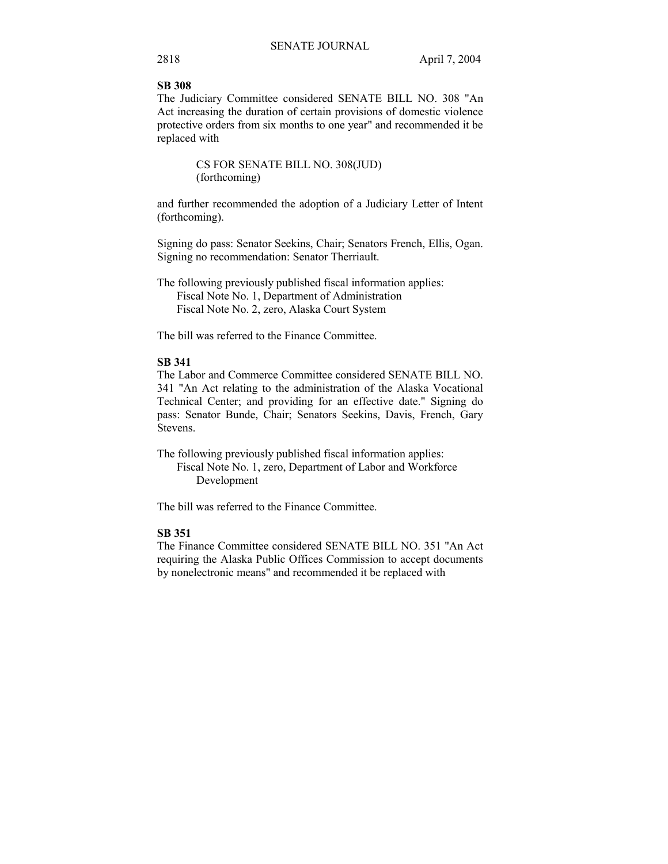## **SB 308**

The Judiciary Committee considered SENATE BILL NO. 308 "An Act increasing the duration of certain provisions of domestic violence protective orders from six months to one year" and recommended it be replaced with

> CS FOR SENATE BILL NO. 308(JUD) (forthcoming)

and further recommended the adoption of a Judiciary Letter of Intent (forthcoming).

Signing do pass: Senator Seekins, Chair; Senators French, Ellis, Ogan. Signing no recommendation: Senator Therriault.

The following previously published fiscal information applies: Fiscal Note No. 1, Department of Administration Fiscal Note No. 2, zero, Alaska Court System

The bill was referred to the Finance Committee.

## **SB 341**

The Labor and Commerce Committee considered SENATE BILL NO. 341 "An Act relating to the administration of the Alaska Vocational Technical Center; and providing for an effective date." Signing do pass: Senator Bunde, Chair; Senators Seekins, Davis, French, Gary Stevens.

The following previously published fiscal information applies: Fiscal Note No. 1, zero, Department of Labor and Workforce Development

The bill was referred to the Finance Committee.

## **SB 351**

The Finance Committee considered SENATE BILL NO. 351 "An Act requiring the Alaska Public Offices Commission to accept documents by nonelectronic means" and recommended it be replaced with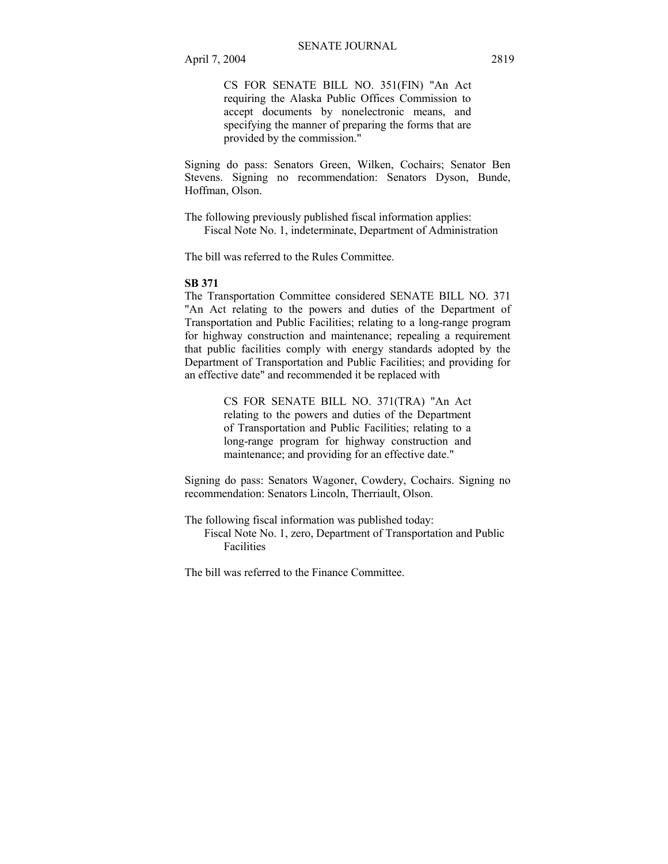CS FOR SENATE BILL NO. 351(FIN) "An Act requiring the Alaska Public Offices Commission to accept documents by nonelectronic means, and specifying the manner of preparing the forms that are provided by the commission."

Signing do pass: Senators Green, Wilken, Cochairs; Senator Ben Stevens. Signing no recommendation: Senators Dyson, Bunde, Hoffman, Olson.

The following previously published fiscal information applies: Fiscal Note No. 1, indeterminate, Department of Administration

The bill was referred to the Rules Committee.

#### **SB 371**

The Transportation Committee considered SENATE BILL NO. 371 "An Act relating to the powers and duties of the Department of Transportation and Public Facilities; relating to a long-range program for highway construction and maintenance; repealing a requirement that public facilities comply with energy standards adopted by the Department of Transportation and Public Facilities; and providing for an effective date" and recommended it be replaced with

> CS FOR SENATE BILL NO. 371(TRA) "An Act relating to the powers and duties of the Department of Transportation and Public Facilities; relating to a long-range program for highway construction and maintenance; and providing for an effective date."

Signing do pass: Senators Wagoner, Cowdery, Cochairs. Signing no recommendation: Senators Lincoln, Therriault, Olson.

The following fiscal information was published today: Fiscal Note No. 1, zero, Department of Transportation and Public Facilities

The bill was referred to the Finance Committee.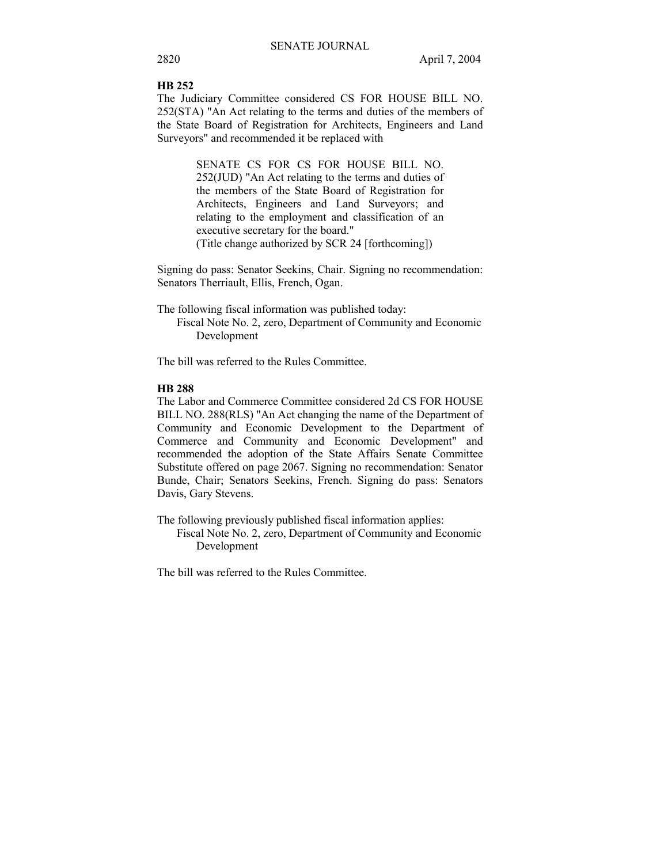#### **HB 252**

The Judiciary Committee considered CS FOR HOUSE BILL NO. 252(STA) "An Act relating to the terms and duties of the members of the State Board of Registration for Architects, Engineers and Land Surveyors" and recommended it be replaced with

> SENATE CS FOR CS FOR HOUSE BILL NO. 252(JUD) "An Act relating to the terms and duties of the members of the State Board of Registration for Architects, Engineers and Land Surveyors; and relating to the employment and classification of an executive secretary for the board." (Title change authorized by SCR 24 [forthcoming])

Signing do pass: Senator Seekins, Chair. Signing no recommendation: Senators Therriault, Ellis, French, Ogan.

The following fiscal information was published today:

 Fiscal Note No. 2, zero, Department of Community and Economic Development

The bill was referred to the Rules Committee.

#### **HB 288**

The Labor and Commerce Committee considered 2d CS FOR HOUSE BILL NO. 288(RLS) "An Act changing the name of the Department of Community and Economic Development to the Department of Commerce and Community and Economic Development" and recommended the adoption of the State Affairs Senate Committee Substitute offered on page 2067. Signing no recommendation: Senator Bunde, Chair; Senators Seekins, French. Signing do pass: Senators Davis, Gary Stevens.

The following previously published fiscal information applies:

 Fiscal Note No. 2, zero, Department of Community and Economic Development

The bill was referred to the Rules Committee.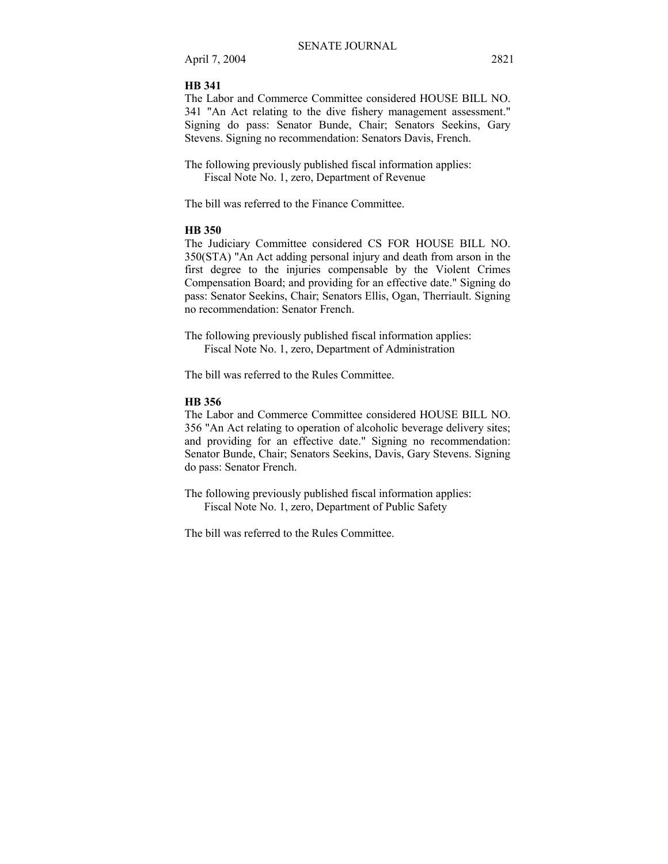April 7, 2004 2821

#### **HB 341**

The Labor and Commerce Committee considered HOUSE BILL NO. 341 "An Act relating to the dive fishery management assessment." Signing do pass: Senator Bunde, Chair; Senators Seekins, Gary Stevens. Signing no recommendation: Senators Davis, French.

The following previously published fiscal information applies: Fiscal Note No. 1, zero, Department of Revenue

The bill was referred to the Finance Committee.

#### **HB 350**

The Judiciary Committee considered CS FOR HOUSE BILL NO. 350(STA) "An Act adding personal injury and death from arson in the first degree to the injuries compensable by the Violent Crimes Compensation Board; and providing for an effective date." Signing do pass: Senator Seekins, Chair; Senators Ellis, Ogan, Therriault. Signing no recommendation: Senator French.

The following previously published fiscal information applies: Fiscal Note No. 1, zero, Department of Administration

The bill was referred to the Rules Committee.

## **HB 356**

The Labor and Commerce Committee considered HOUSE BILL NO. 356 "An Act relating to operation of alcoholic beverage delivery sites; and providing for an effective date." Signing no recommendation: Senator Bunde, Chair; Senators Seekins, Davis, Gary Stevens. Signing do pass: Senator French.

The following previously published fiscal information applies: Fiscal Note No. 1, zero, Department of Public Safety

The bill was referred to the Rules Committee.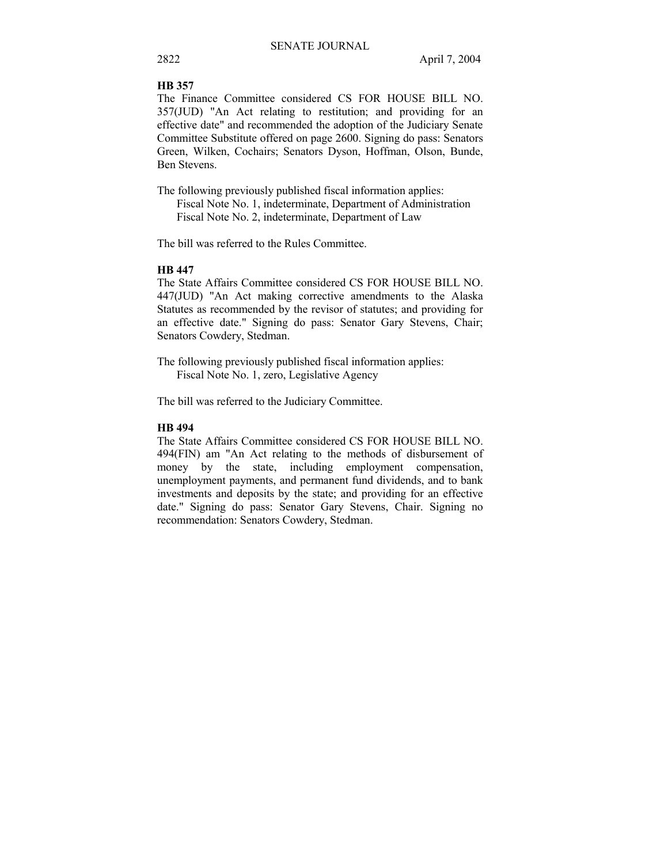#### **HB 357**

The Finance Committee considered CS FOR HOUSE BILL NO. 357(JUD) "An Act relating to restitution; and providing for an effective date" and recommended the adoption of the Judiciary Senate Committee Substitute offered on page 2600. Signing do pass: Senators Green, Wilken, Cochairs; Senators Dyson, Hoffman, Olson, Bunde, Ben Stevens.

The following previously published fiscal information applies: Fiscal Note No. 1, indeterminate, Department of Administration Fiscal Note No. 2, indeterminate, Department of Law

The bill was referred to the Rules Committee.

## **HB 447**

The State Affairs Committee considered CS FOR HOUSE BILL NO. 447(JUD) "An Act making corrective amendments to the Alaska Statutes as recommended by the revisor of statutes; and providing for an effective date." Signing do pass: Senator Gary Stevens, Chair; Senators Cowdery, Stedman.

The following previously published fiscal information applies: Fiscal Note No. 1, zero, Legislative Agency

The bill was referred to the Judiciary Committee.

## **HB 494**

The State Affairs Committee considered CS FOR HOUSE BILL NO. 494(FIN) am "An Act relating to the methods of disbursement of money by the state, including employment compensation, unemployment payments, and permanent fund dividends, and to bank investments and deposits by the state; and providing for an effective date." Signing do pass: Senator Gary Stevens, Chair. Signing no recommendation: Senators Cowdery, Stedman.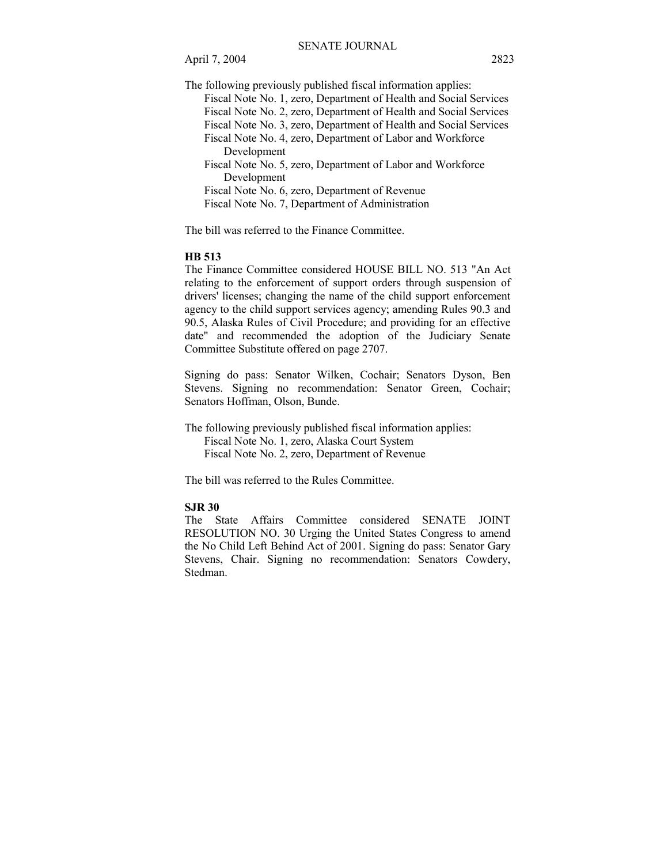April 7, 2004 2823

The following previously published fiscal information applies:

 Fiscal Note No. 1, zero, Department of Health and Social Services Fiscal Note No. 2, zero, Department of Health and Social Services Fiscal Note No. 3, zero, Department of Health and Social Services Fiscal Note No. 4, zero, Department of Labor and Workforce Development Fiscal Note No. 5, zero, Department of Labor and Workforce Development Fiscal Note No. 6, zero, Department of Revenue Fiscal Note No. 7, Department of Administration

The bill was referred to the Finance Committee.

#### **HB 513**

The Finance Committee considered HOUSE BILL NO. 513 "An Act relating to the enforcement of support orders through suspension of drivers' licenses; changing the name of the child support enforcement agency to the child support services agency; amending Rules 90.3 and 90.5, Alaska Rules of Civil Procedure; and providing for an effective date" and recommended the adoption of the Judiciary Senate Committee Substitute offered on page 2707.

Signing do pass: Senator Wilken, Cochair; Senators Dyson, Ben Stevens. Signing no recommendation: Senator Green, Cochair; Senators Hoffman, Olson, Bunde.

The following previously published fiscal information applies: Fiscal Note No. 1, zero, Alaska Court System Fiscal Note No. 2, zero, Department of Revenue

The bill was referred to the Rules Committee.

### **SJR 30**

The State Affairs Committee considered SENATE JOINT RESOLUTION NO. 30 Urging the United States Congress to amend the No Child Left Behind Act of 2001. Signing do pass: Senator Gary Stevens, Chair. Signing no recommendation: Senators Cowdery, Stedman.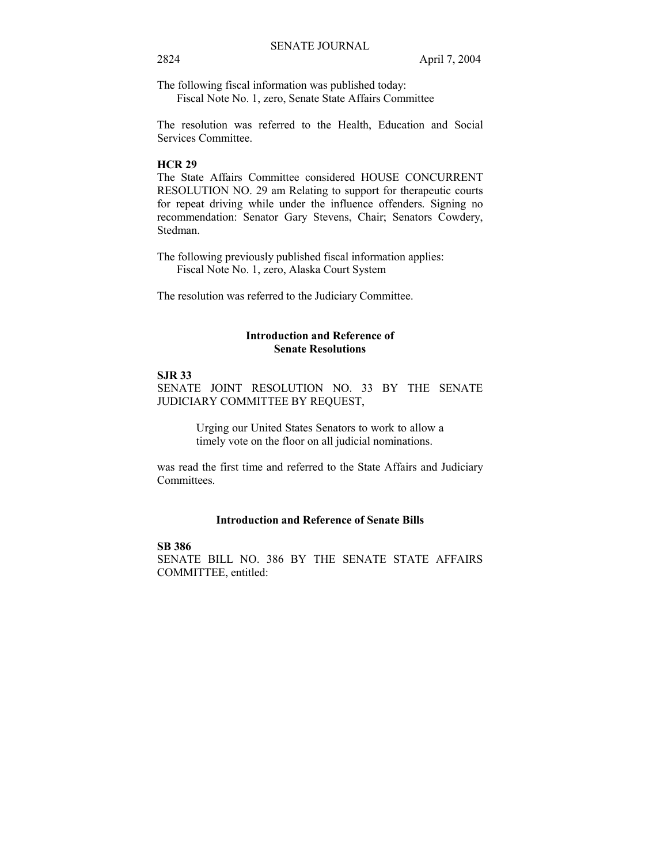The following fiscal information was published today:

Fiscal Note No. 1, zero, Senate State Affairs Committee

The resolution was referred to the Health, Education and Social Services Committee.

#### **HCR 29**

The State Affairs Committee considered HOUSE CONCURRENT RESOLUTION NO. 29 am Relating to support for therapeutic courts for repeat driving while under the influence offenders. Signing no recommendation: Senator Gary Stevens, Chair; Senators Cowdery, Stedman.

The following previously published fiscal information applies: Fiscal Note No. 1, zero, Alaska Court System

The resolution was referred to the Judiciary Committee.

## **Introduction and Reference of Senate Resolutions**

## **SJR 33**

SENATE JOINT RESOLUTION NO. 33 BY THE SENATE JUDICIARY COMMITTEE BY REQUEST,

> Urging our United States Senators to work to allow a timely vote on the floor on all judicial nominations.

was read the first time and referred to the State Affairs and Judiciary Committees.

### **Introduction and Reference of Senate Bills**

**SB 386**  SENATE BILL NO. 386 BY THE SENATE STATE AFFAIRS COMMITTEE, entitled: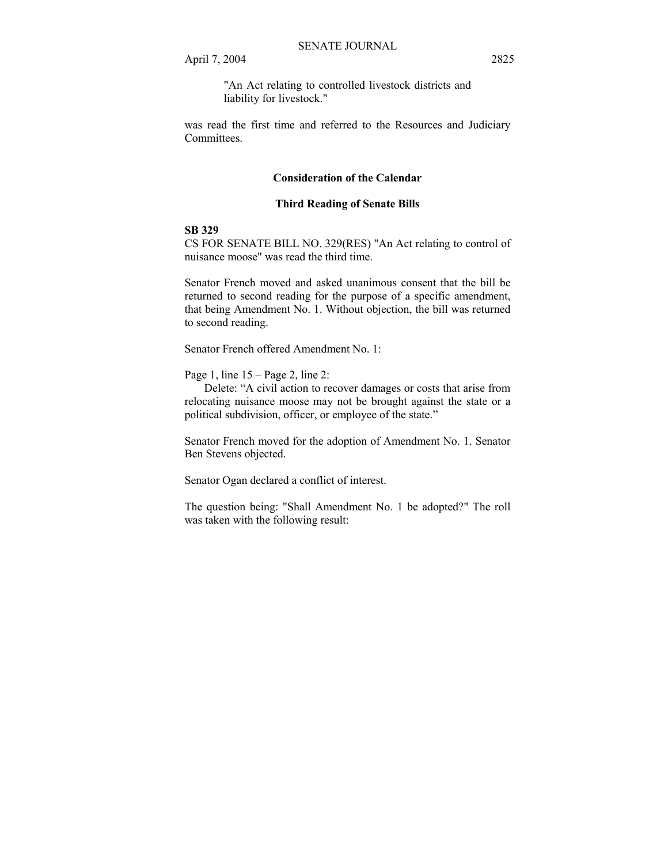"An Act relating to controlled livestock districts and liability for livestock."

was read the first time and referred to the Resources and Judiciary Committees.

### **Consideration of the Calendar**

#### **Third Reading of Senate Bills**

#### **SB 329**

CS FOR SENATE BILL NO. 329(RES) "An Act relating to control of nuisance moose" was read the third time.

Senator French moved and asked unanimous consent that the bill be returned to second reading for the purpose of a specific amendment, that being Amendment No. 1. Without objection, the bill was returned to second reading.

Senator French offered Amendment No. 1:

Page 1, line  $15 - Page 2$ , line 2:

Delete: "A civil action to recover damages or costs that arise from relocating nuisance moose may not be brought against the state or a political subdivision, officer, or employee of the state.<sup>"</sup>

Senator French moved for the adoption of Amendment No. 1. Senator Ben Stevens objected.

Senator Ogan declared a conflict of interest.

The question being: "Shall Amendment No. 1 be adopted?" The roll was taken with the following result: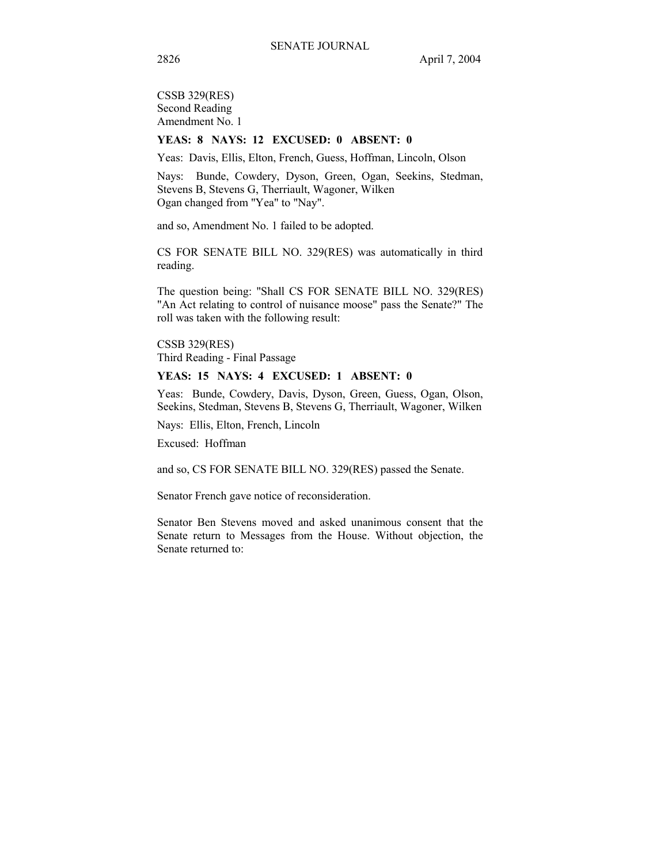CSSB 329(RES) Second Reading Amendment No. 1

## **YEAS: 8 NAYS: 12 EXCUSED: 0 ABSENT: 0**

Yeas: Davis, Ellis, Elton, French, Guess, Hoffman, Lincoln, Olson

Nays: Bunde, Cowdery, Dyson, Green, Ogan, Seekins, Stedman, Stevens B, Stevens G, Therriault, Wagoner, Wilken Ogan changed from "Yea" to "Nay".

and so, Amendment No. 1 failed to be adopted.

CS FOR SENATE BILL NO. 329(RES) was automatically in third reading.

The question being: "Shall CS FOR SENATE BILL NO. 329(RES) "An Act relating to control of nuisance moose" pass the Senate?" The roll was taken with the following result:

CSSB 329(RES) Third Reading - Final Passage

#### **YEAS: 15 NAYS: 4 EXCUSED: 1 ABSENT: 0**

Yeas: Bunde, Cowdery, Davis, Dyson, Green, Guess, Ogan, Olson, Seekins, Stedman, Stevens B, Stevens G, Therriault, Wagoner, Wilken

Nays: Ellis, Elton, French, Lincoln

Excused: Hoffman

and so, CS FOR SENATE BILL NO. 329(RES) passed the Senate.

Senator French gave notice of reconsideration.

Senator Ben Stevens moved and asked unanimous consent that the Senate return to Messages from the House. Without objection, the Senate returned to: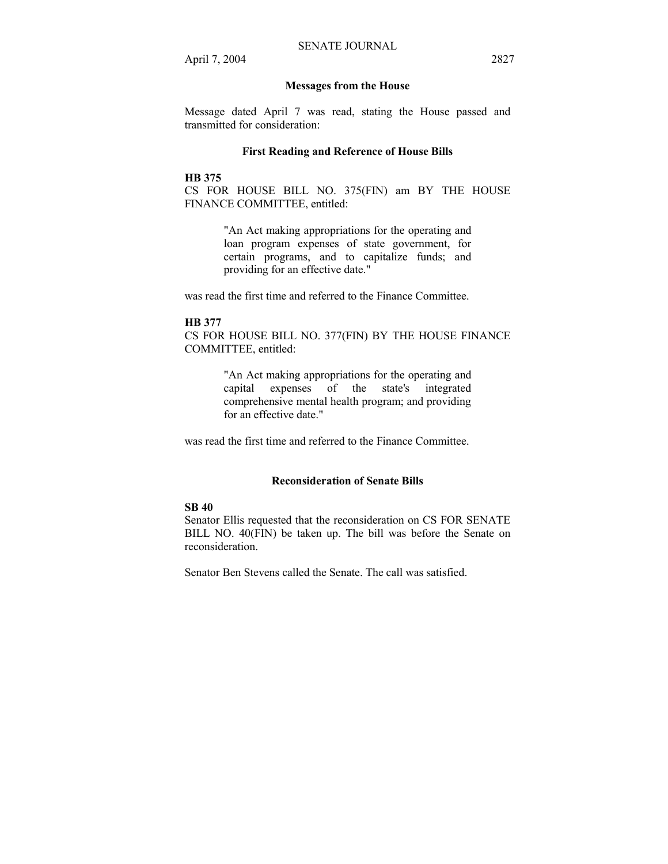#### **Messages from the House**

Message dated April 7 was read, stating the House passed and transmitted for consideration:

#### **First Reading and Reference of House Bills**

#### **HB 375**

CS FOR HOUSE BILL NO. 375(FIN) am BY THE HOUSE FINANCE COMMITTEE, entitled:

> "An Act making appropriations for the operating and loan program expenses of state government, for certain programs, and to capitalize funds; and providing for an effective date."

was read the first time and referred to the Finance Committee.

#### **HB 377**

CS FOR HOUSE BILL NO. 377(FIN) BY THE HOUSE FINANCE COMMITTEE, entitled:

> "An Act making appropriations for the operating and capital expenses of the state's integrated comprehensive mental health program; and providing for an effective date."

was read the first time and referred to the Finance Committee.

## **Reconsideration of Senate Bills**

### **SB 40**

Senator Ellis requested that the reconsideration on CS FOR SENATE BILL NO. 40(FIN) be taken up. The bill was before the Senate on reconsideration.

Senator Ben Stevens called the Senate. The call was satisfied.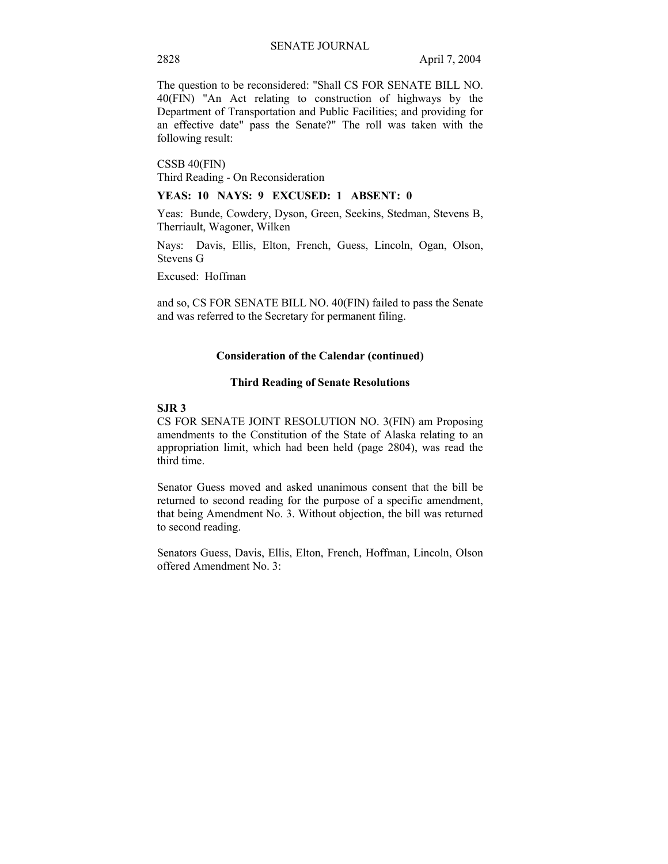The question to be reconsidered: "Shall CS FOR SENATE BILL NO. 40(FIN) "An Act relating to construction of highways by the Department of Transportation and Public Facilities; and providing for an effective date" pass the Senate?" The roll was taken with the following result:

CSSB 40(FIN) Third Reading - On Reconsideration

**YEAS: 10 NAYS: 9 EXCUSED: 1 ABSENT: 0** 

Yeas: Bunde, Cowdery, Dyson, Green, Seekins, Stedman, Stevens B, Therriault, Wagoner, Wilken

Nays: Davis, Ellis, Elton, French, Guess, Lincoln, Ogan, Olson, Stevens G

Excused: Hoffman

and so, CS FOR SENATE BILL NO. 40(FIN) failed to pass the Senate and was referred to the Secretary for permanent filing.

#### **Consideration of the Calendar (continued)**

#### **Third Reading of Senate Resolutions**

#### **SJR 3**

CS FOR SENATE JOINT RESOLUTION NO. 3(FIN) am Proposing amendments to the Constitution of the State of Alaska relating to an appropriation limit, which had been held (page 2804), was read the third time.

Senator Guess moved and asked unanimous consent that the bill be returned to second reading for the purpose of a specific amendment, that being Amendment No. 3. Without objection, the bill was returned to second reading.

Senators Guess, Davis, Ellis, Elton, French, Hoffman, Lincoln, Olson offered Amendment No. 3: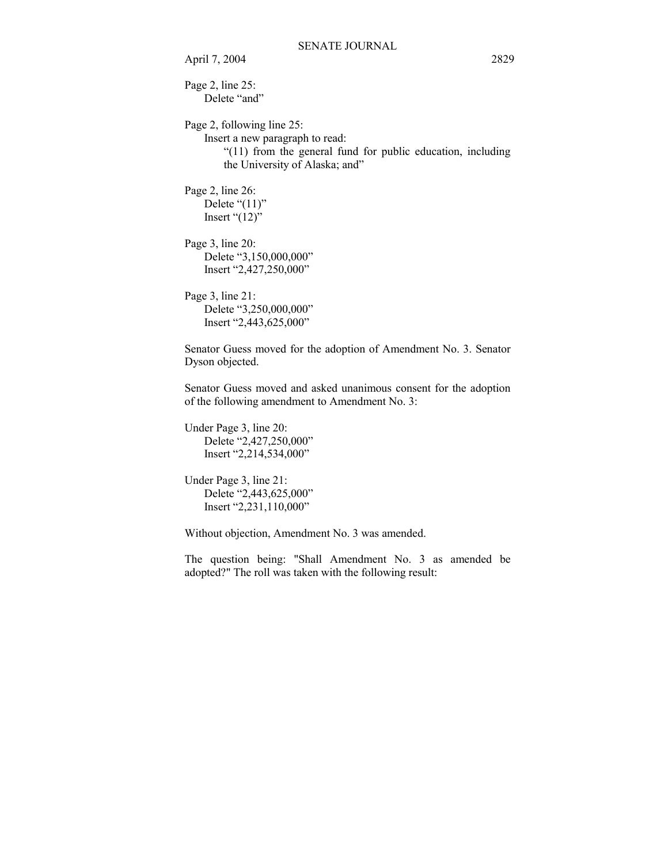April 7, 2004 2829

Page 2, line 25: Delete "and"

Page 2, following line 25:

Insert a new paragraph to read:

 $\degree$ (11) from the general fund for public education, including the University of Alaska; and"

Page 2, line 26: Delete  $\degree$ (11)" Insert  $(12)$ <sup>"</sup>

Page 3, line 20: Delete "3,150,000,000" Insert "2,427,250,000"

Page 3, line 21: Delete "3,250,000,000" Insert "2,443,625,000"

Senator Guess moved for the adoption of Amendment No. 3. Senator Dyson objected.

Senator Guess moved and asked unanimous consent for the adoption of the following amendment to Amendment No. 3:

Under Page 3, line 20: Delete "2,427,250,000" Insert "2,214,534,000"

Under Page 3, line 21: Delete "2,443,625,000" Insert "2,231,110,000"

Without objection, Amendment No. 3 was amended.

The question being: "Shall Amendment No. 3 as amended be adopted?" The roll was taken with the following result: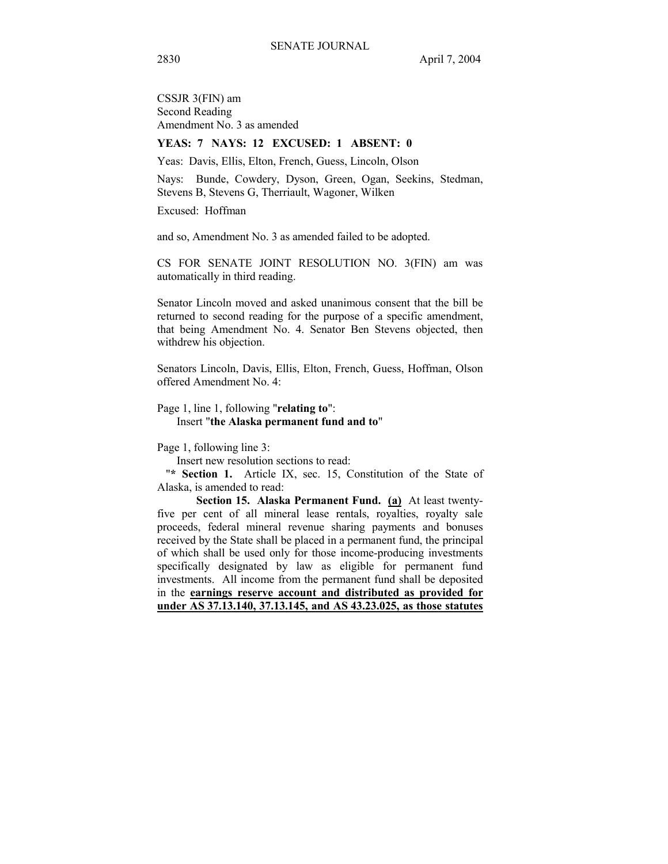CSSJR 3(FIN) am Second Reading Amendment No. 3 as amended

## **YEAS: 7 NAYS: 12 EXCUSED: 1 ABSENT: 0**

Yeas: Davis, Ellis, Elton, French, Guess, Lincoln, Olson

Nays: Bunde, Cowdery, Dyson, Green, Ogan, Seekins, Stedman, Stevens B, Stevens G, Therriault, Wagoner, Wilken

Excused: Hoffman

and so, Amendment No. 3 as amended failed to be adopted.

CS FOR SENATE JOINT RESOLUTION NO. 3(FIN) am was automatically in third reading.

Senator Lincoln moved and asked unanimous consent that the bill be returned to second reading for the purpose of a specific amendment, that being Amendment No. 4. Senator Ben Stevens objected, then withdrew his objection.

Senators Lincoln, Davis, Ellis, Elton, French, Guess, Hoffman, Olson offered Amendment No. 4:

#### Page 1, line 1, following "**relating to**": Insert "**the Alaska permanent fund and to**"

Page 1, following line 3:

Insert new resolution sections to read:

"**\* Section 1.** Article IX, sec. 15, Constitution of the State of Alaska, is amended to read:

 **Section 15. Alaska Permanent Fund. (a)** At least twentyfive per cent of all mineral lease rentals, royalties, royalty sale proceeds, federal mineral revenue sharing payments and bonuses received by the State shall be placed in a permanent fund, the principal of which shall be used only for those income-producing investments specifically designated by law as eligible for permanent fund investments. All income from the permanent fund shall be deposited in the **earnings reserve account and distributed as provided for under AS 37.13.140, 37.13.145, and AS 43.23.025, as those statutes**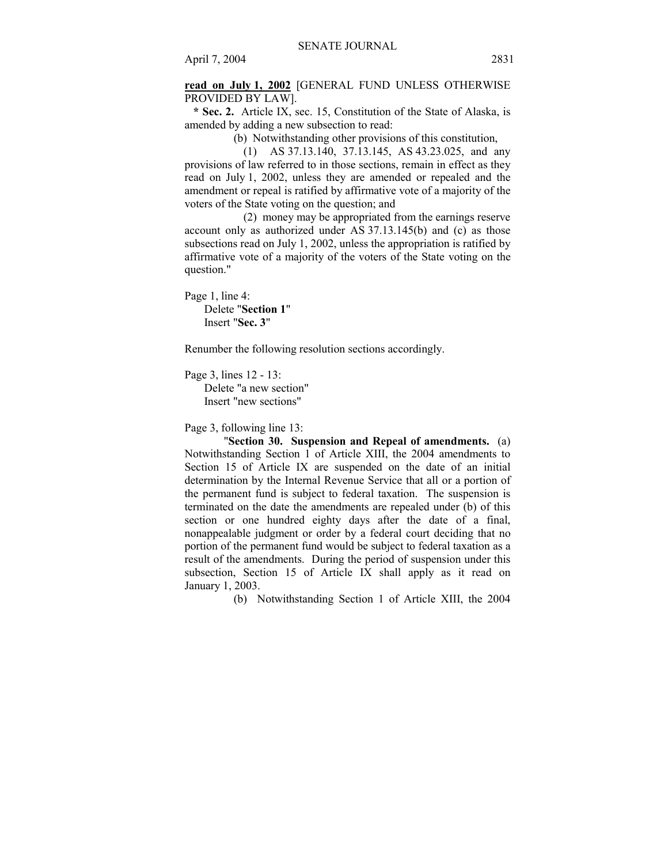**read on July 1, 2002** [GENERAL FUND UNLESS OTHERWISE PROVIDED BY LAW].

 **\* Sec. 2.** Article IX, sec. 15, Constitution of the State of Alaska, is amended by adding a new subsection to read:

(b) Notwithstanding other provisions of this constitution,

 (1) AS 37.13.140, 37.13.145, AS 43.23.025, and any provisions of law referred to in those sections, remain in effect as they read on July 1, 2002, unless they are amended or repealed and the amendment or repeal is ratified by affirmative vote of a majority of the voters of the State voting on the question; and

 (2) money may be appropriated from the earnings reserve account only as authorized under AS 37.13.145(b) and (c) as those subsections read on July 1, 2002, unless the appropriation is ratified by affirmative vote of a majority of the voters of the State voting on the question."

Page 1, line 4: Delete "**Section 1**" Insert "**Sec. 3**"

Renumber the following resolution sections accordingly.

Page 3, lines 12 - 13: Delete "a new section" Insert "new sections"

Page 3, following line 13:

 "**Section 30. Suspension and Repeal of amendments.** (a) Notwithstanding Section 1 of Article XIII, the 2004 amendments to Section 15 of Article IX are suspended on the date of an initial determination by the Internal Revenue Service that all or a portion of the permanent fund is subject to federal taxation. The suspension is terminated on the date the amendments are repealed under (b) of this section or one hundred eighty days after the date of a final, nonappealable judgment or order by a federal court deciding that no portion of the permanent fund would be subject to federal taxation as a result of the amendments. During the period of suspension under this subsection, Section 15 of Article IX shall apply as it read on January 1, 2003.

(b) Notwithstanding Section 1 of Article XIII, the 2004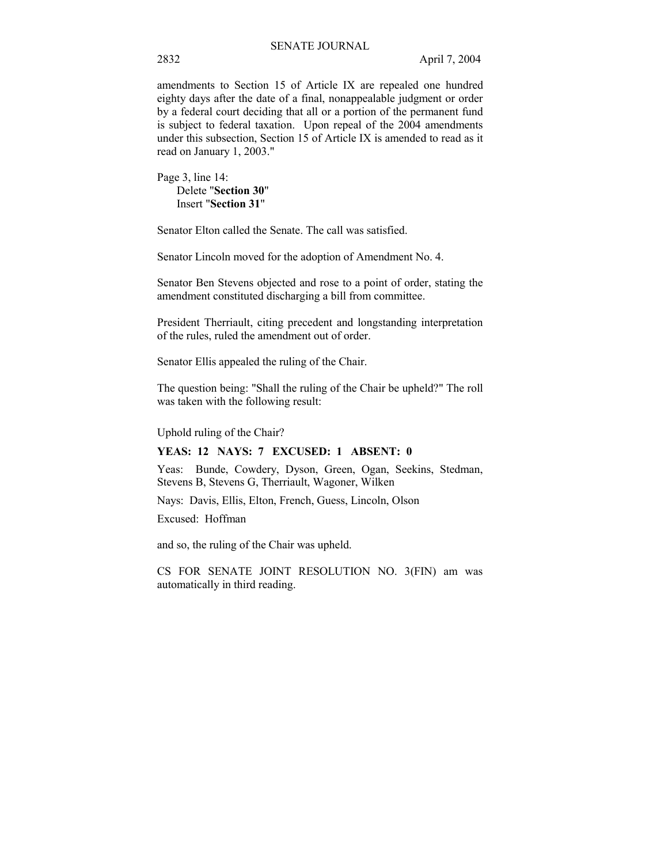amendments to Section 15 of Article IX are repealed one hundred eighty days after the date of a final, nonappealable judgment or order by a federal court deciding that all or a portion of the permanent fund is subject to federal taxation. Upon repeal of the 2004 amendments under this subsection, Section 15 of Article IX is amended to read as it read on January 1, 2003."

Page 3, line 14: Delete "**Section 30**" Insert "**Section 31**"

Senator Elton called the Senate. The call was satisfied.

Senator Lincoln moved for the adoption of Amendment No. 4.

Senator Ben Stevens objected and rose to a point of order, stating the amendment constituted discharging a bill from committee.

President Therriault, citing precedent and longstanding interpretation of the rules, ruled the amendment out of order.

Senator Ellis appealed the ruling of the Chair.

The question being: "Shall the ruling of the Chair be upheld?" The roll was taken with the following result:

Uphold ruling of the Chair?

## **YEAS: 12 NAYS: 7 EXCUSED: 1 ABSENT: 0**

Yeas: Bunde, Cowdery, Dyson, Green, Ogan, Seekins, Stedman, Stevens B, Stevens G, Therriault, Wagoner, Wilken

Nays: Davis, Ellis, Elton, French, Guess, Lincoln, Olson

Excused: Hoffman

and so, the ruling of the Chair was upheld.

CS FOR SENATE JOINT RESOLUTION NO. 3(FIN) am was automatically in third reading.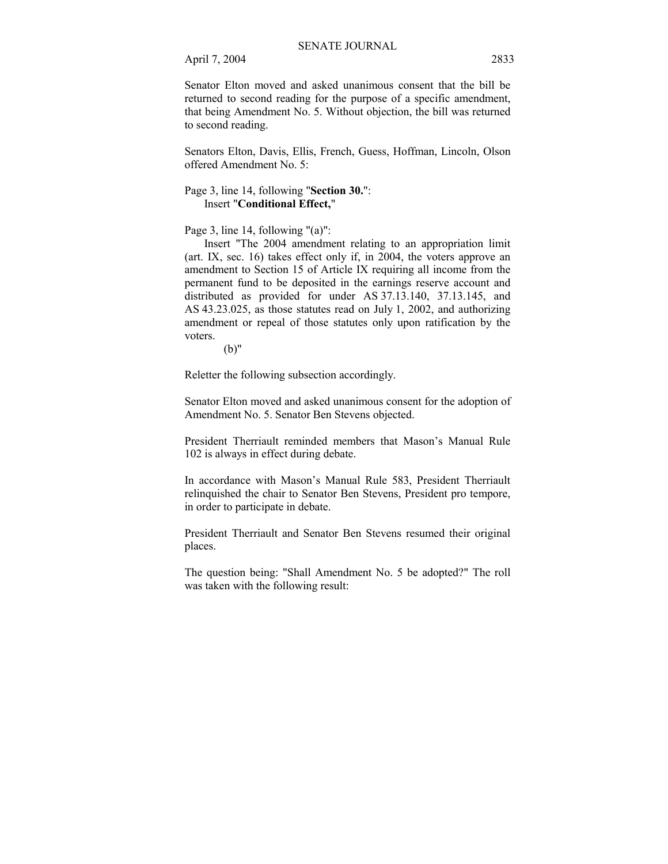April 7, 2004 2833

Senator Elton moved and asked unanimous consent that the bill be returned to second reading for the purpose of a specific amendment, that being Amendment No. 5. Without objection, the bill was returned to second reading.

Senators Elton, Davis, Ellis, French, Guess, Hoffman, Lincoln, Olson offered Amendment No. 5:

## Page 3, line 14, following "**Section 30.**": Insert "**Conditional Effect,**"

Page 3, line 14, following "(a)":

 Insert "The 2004 amendment relating to an appropriation limit (art. IX, sec. 16) takes effect only if, in 2004, the voters approve an amendment to Section 15 of Article IX requiring all income from the permanent fund to be deposited in the earnings reserve account and distributed as provided for under AS 37.13.140, 37.13.145, and AS 43.23.025, as those statutes read on July 1, 2002, and authorizing amendment or repeal of those statutes only upon ratification by the voters.

(b)"

Reletter the following subsection accordingly.

Senator Elton moved and asked unanimous consent for the adoption of Amendment No. 5. Senator Ben Stevens objected.

President Therriault reminded members that Mason's Manual Rule 102 is always in effect during debate.

In accordance with Mason's Manual Rule 583, President Therriault relinquished the chair to Senator Ben Stevens, President pro tempore, in order to participate in debate.

President Therriault and Senator Ben Stevens resumed their original places.

The question being: "Shall Amendment No. 5 be adopted?" The roll was taken with the following result: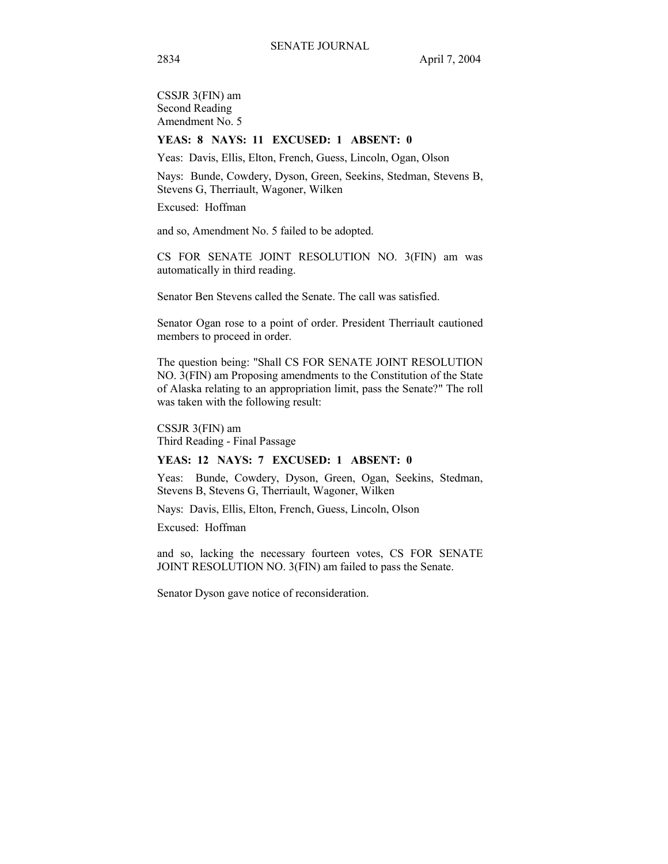CSSJR 3(FIN) am Second Reading Amendment No. 5

#### **YEAS: 8 NAYS: 11 EXCUSED: 1 ABSENT: 0**

Yeas: Davis, Ellis, Elton, French, Guess, Lincoln, Ogan, Olson

Nays: Bunde, Cowdery, Dyson, Green, Seekins, Stedman, Stevens B, Stevens G, Therriault, Wagoner, Wilken

Excused: Hoffman

and so, Amendment No. 5 failed to be adopted.

CS FOR SENATE JOINT RESOLUTION NO. 3(FIN) am was automatically in third reading.

Senator Ben Stevens called the Senate. The call was satisfied.

Senator Ogan rose to a point of order. President Therriault cautioned members to proceed in order.

The question being: "Shall CS FOR SENATE JOINT RESOLUTION NO. 3(FIN) am Proposing amendments to the Constitution of the State of Alaska relating to an appropriation limit, pass the Senate?" The roll was taken with the following result:

CSSJR 3(FIN) am Third Reading - Final Passage

#### **YEAS: 12 NAYS: 7 EXCUSED: 1 ABSENT: 0**

Yeas: Bunde, Cowdery, Dyson, Green, Ogan, Seekins, Stedman, Stevens B, Stevens G, Therriault, Wagoner, Wilken

Nays: Davis, Ellis, Elton, French, Guess, Lincoln, Olson

Excused: Hoffman

and so, lacking the necessary fourteen votes, CS FOR SENATE JOINT RESOLUTION NO. 3(FIN) am failed to pass the Senate.

Senator Dyson gave notice of reconsideration.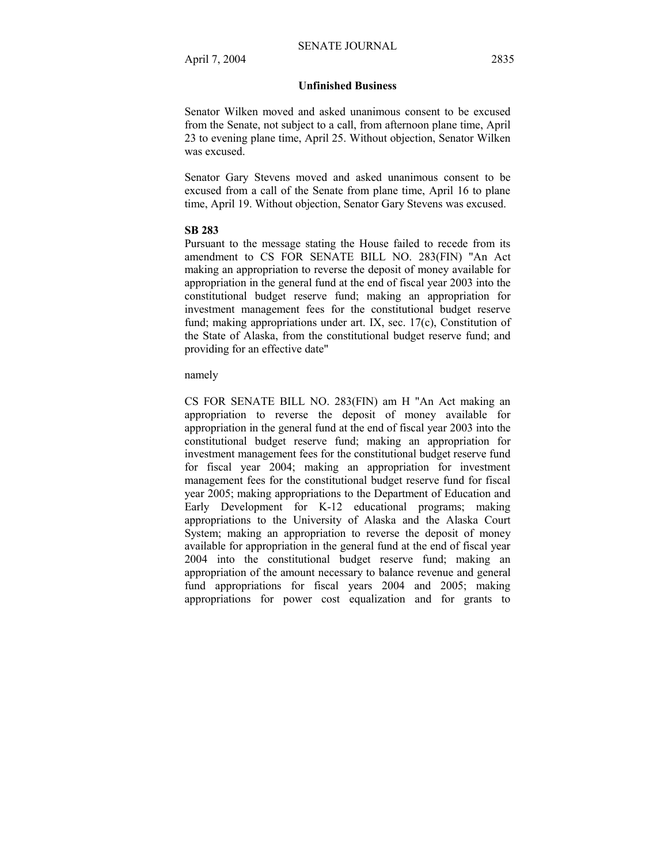### **Unfinished Business**

Senator Wilken moved and asked unanimous consent to be excused from the Senate, not subject to a call, from afternoon plane time, April 23 to evening plane time, April 25. Without objection, Senator Wilken was excused.

Senator Gary Stevens moved and asked unanimous consent to be excused from a call of the Senate from plane time, April 16 to plane time, April 19. Without objection, Senator Gary Stevens was excused.

#### **SB 283**

Pursuant to the message stating the House failed to recede from its amendment to CS FOR SENATE BILL NO. 283(FIN) "An Act making an appropriation to reverse the deposit of money available for appropriation in the general fund at the end of fiscal year 2003 into the constitutional budget reserve fund; making an appropriation for investment management fees for the constitutional budget reserve fund; making appropriations under art. IX, sec. 17(c), Constitution of the State of Alaska, from the constitutional budget reserve fund; and providing for an effective date"

#### namely

CS FOR SENATE BILL NO. 283(FIN) am H "An Act making an appropriation to reverse the deposit of money available for appropriation in the general fund at the end of fiscal year 2003 into the constitutional budget reserve fund; making an appropriation for investment management fees for the constitutional budget reserve fund for fiscal year 2004; making an appropriation for investment management fees for the constitutional budget reserve fund for fiscal year 2005; making appropriations to the Department of Education and Early Development for K-12 educational programs; making appropriations to the University of Alaska and the Alaska Court System; making an appropriation to reverse the deposit of money available for appropriation in the general fund at the end of fiscal year 2004 into the constitutional budget reserve fund; making an appropriation of the amount necessary to balance revenue and general fund appropriations for fiscal years 2004 and 2005; making appropriations for power cost equalization and for grants to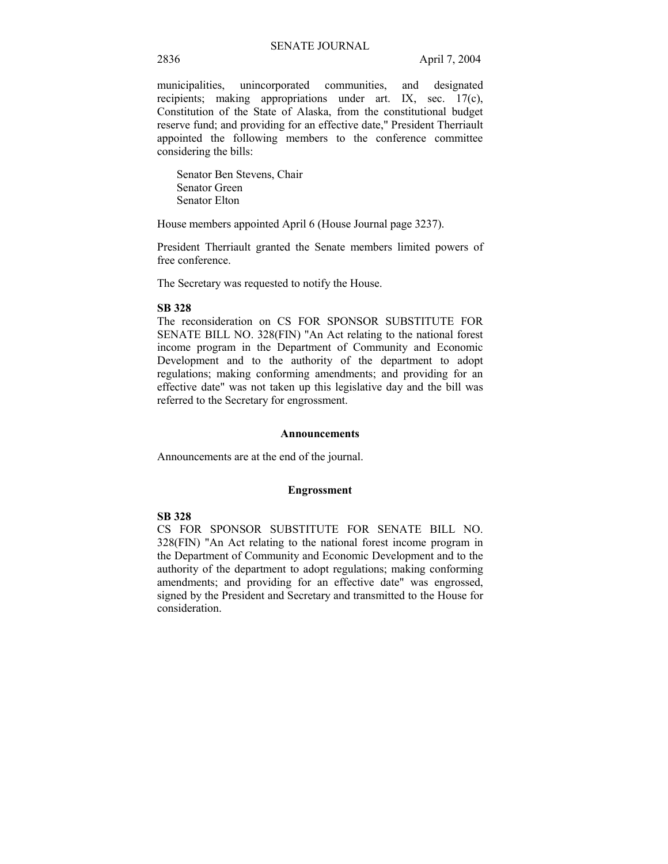municipalities, unincorporated communities, and designated recipients; making appropriations under art. IX, sec. 17(c), Constitution of the State of Alaska, from the constitutional budget reserve fund; and providing for an effective date," President Therriault appointed the following members to the conference committee considering the bills:

Senator Ben Stevens, Chair Senator Green Senator Elton

House members appointed April 6 (House Journal page 3237).

President Therriault granted the Senate members limited powers of free conference.

The Secretary was requested to notify the House.

#### **SB 328**

The reconsideration on CS FOR SPONSOR SUBSTITUTE FOR SENATE BILL NO. 328(FIN) "An Act relating to the national forest income program in the Department of Community and Economic Development and to the authority of the department to adopt regulations; making conforming amendments; and providing for an effective date" was not taken up this legislative day and the bill was referred to the Secretary for engrossment.

#### **Announcements**

Announcements are at the end of the journal.

#### **Engrossment**

## **SB 328**

CS FOR SPONSOR SUBSTITUTE FOR SENATE BILL NO. 328(FIN) "An Act relating to the national forest income program in the Department of Community and Economic Development and to the authority of the department to adopt regulations; making conforming amendments; and providing for an effective date" was engrossed, signed by the President and Secretary and transmitted to the House for consideration.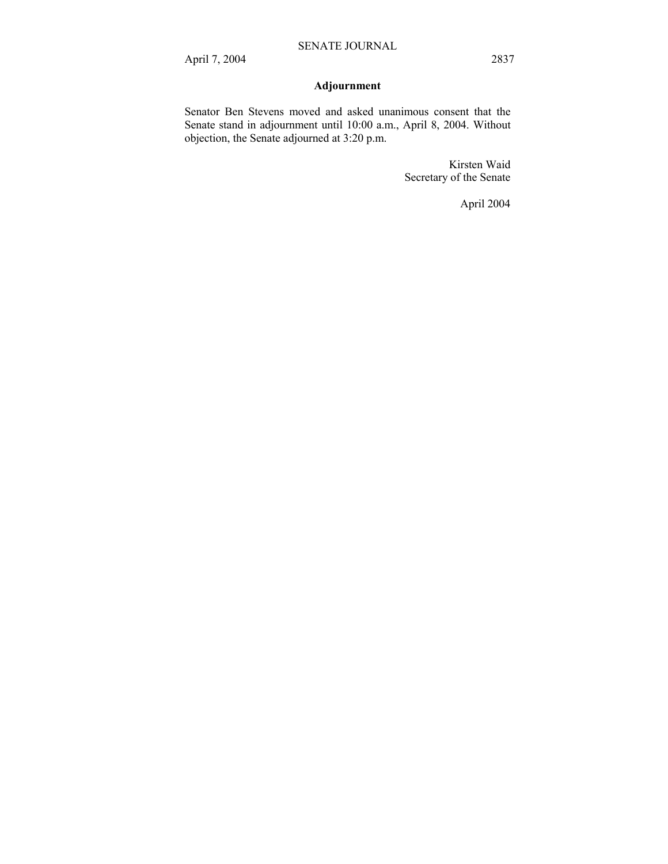# **Adjournment**

Senator Ben Stevens moved and asked unanimous consent that the Senate stand in adjournment until 10:00 a.m., April 8, 2004. Without objection, the Senate adjourned at 3:20 p.m.

> Kirsten Waid Secretary of the Senate

> > April 2004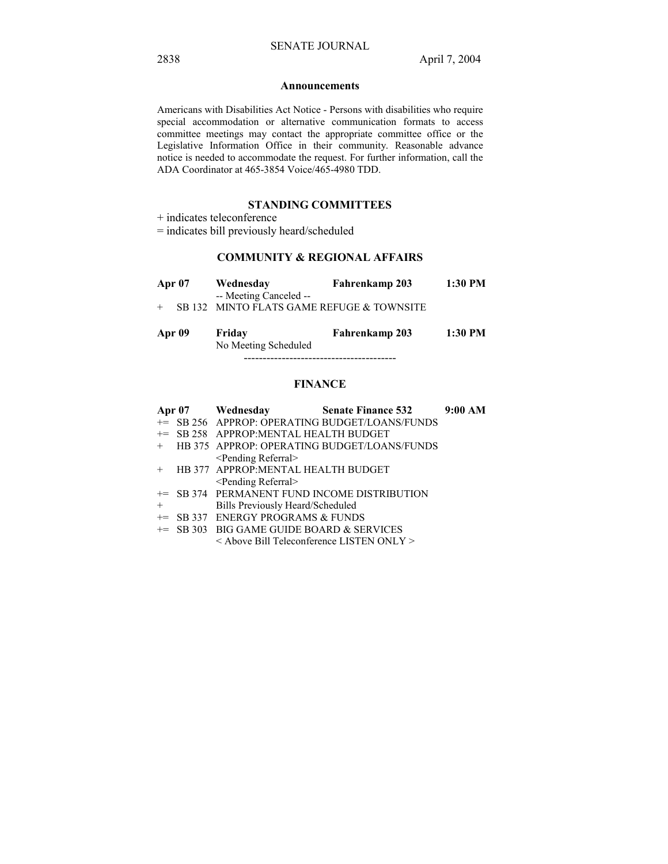#### **Announcements**

Americans with Disabilities Act Notice - Persons with disabilities who require special accommodation or alternative communication formats to access committee meetings may contact the appropriate committee office or the Legislative Information Office in their community. Reasonable advance notice is needed to accommodate the request. For further information, call the ADA Coordinator at 465-3854 Voice/465-4980 TDD.

## **STANDING COMMITTEES**

+ indicates teleconference

= indicates bill previously heard/scheduled

## **COMMUNITY & REGIONAL AFFAIRS**

|     | <b>Apr</b> 07 | Wednesday                                                           | Fahrenkamp 203 | 1:30 PM |
|-----|---------------|---------------------------------------------------------------------|----------------|---------|
| $+$ |               | -- Meeting Canceled --<br>SB 132 MINTO FLATS GAME REFUGE & TOWNSITE |                |         |
|     | Apr 09        | Friday                                                              | Fahrenkamp 203 | 1:30 PM |

No Meeting Scheduled

----------------------------------------

## **FINANCE**

|        |                                                     | Apr 07 Wednesday Senate Finance 532 9:00 AM    |  |
|--------|-----------------------------------------------------|------------------------------------------------|--|
|        |                                                     | += SB 256 APPROP: OPERATING BUDGET/LOANS/FUNDS |  |
|        | += SB 258 APPROP:MENTAL HEALTH BUDGET               |                                                |  |
|        |                                                     | + HB 375 APPROP: OPERATING BUDGET/LOANS/FUNDS  |  |
|        | <pending referral=""></pending>                     |                                                |  |
| $+$    | HB 377 APPROP: MENTAL HEALTH BUDGET                 |                                                |  |
|        | <pending referral=""></pending>                     |                                                |  |
|        |                                                     | += SB 374 PERMANENT FUND INCOME DISTRIBUTION   |  |
| $^{+}$ | Bills Previously Heard/Scheduled                    |                                                |  |
|        | $+=$ SB 337 ENERGY PROGRAMS & FUNDS                 |                                                |  |
|        | $+=$ SB 303 BIG GAME GUIDE BOARD & SERVICES         |                                                |  |
|        | $\leq$ Above Bill Teleconference LISTEN ONLY $\geq$ |                                                |  |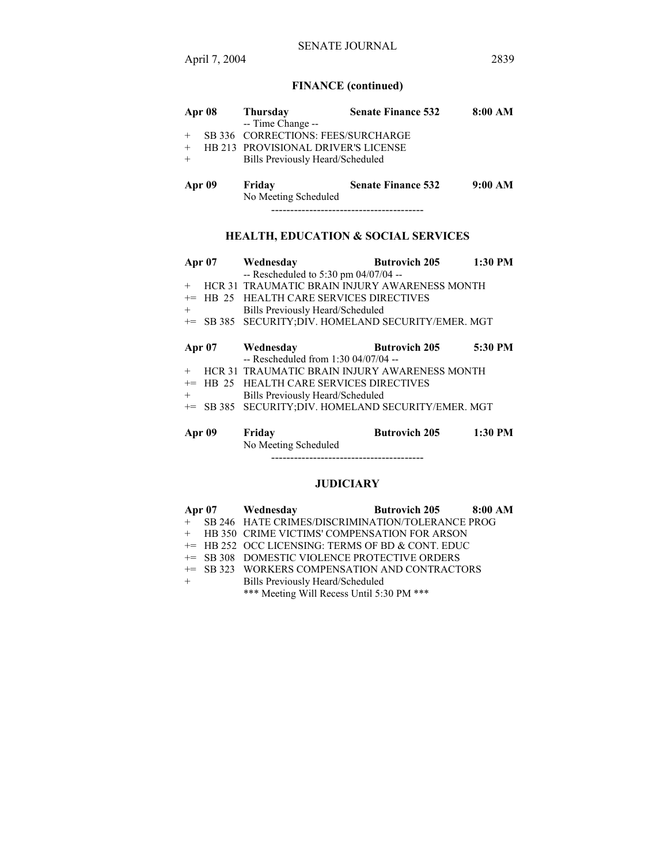# **FINANCE (continued)**

| Apr 08 | <b>Thursday</b>                            | <b>Senate Finance 532</b> | 8:00 AM |
|--------|--------------------------------------------|---------------------------|---------|
|        | -- Time Change --                          |                           |         |
| $+$    | SB 336 CORRECTIONS: FEES/SURCHARGE         |                           |         |
| $+$    | <b>HB 213 PROVISIONAL DRIVER'S LICENSE</b> |                           |         |
| $+$    | Bills Previously Heard/Scheduled           |                           |         |
| Apr 09 | Friday<br>No Meeting Scheduled             | <b>Senate Finance 532</b> | 9:00 AM |
|        |                                            |                           |         |

# **HEALTH, EDUCATION & SOCIAL SERVICES**

| Apr $07$ |       | Wednesday                                            | <b>Butrovich 205</b> | 1:30 PM   |
|----------|-------|------------------------------------------------------|----------------------|-----------|
|          |       | -- Rescheduled to 5:30 pm 04/07/04 --                |                      |           |
| $+$      |       | HCR 31 TRAUMATIC BRAIN INJURY AWARENESS MONTH        |                      |           |
| $+=$     |       | HB 25 HEALTH CARE SERVICES DIRECTIVES                |                      |           |
| $^{+}$   |       | Bills Previously Heard/Scheduled                     |                      |           |
|          |       | += SB 385 SECURITY; DIV. HOMELAND SECURITY/EMER. MGT |                      |           |
|          |       |                                                      |                      |           |
| Apr $07$ |       | Wednesday                                            | <b>Butrovich 205</b> | 5:30 PM   |
|          |       | $-$ Rescheduled from 1:30 04/07/04 $-$               |                      |           |
| $+$      |       | <b>HCR 31 TRAUMATIC BRAIN INJURY AWARENESS MONTH</b> |                      |           |
| $+=$     | HB 25 | <b>HEALTH CARE SERVICES DIRECTIVES</b>               |                      |           |
| $+$      |       | Bills Previously Heard/Scheduled                     |                      |           |
|          |       | += SB 385 SECURITY; DIV. HOMELAND SECURITY/EMER. MGT |                      |           |
|          |       |                                                      |                      |           |
| Apr 09   |       | Friday                                               | <b>Butrovich 205</b> | $1:30$ PM |
|          |       | No Meeting Scheduled                                 |                      |           |

----------------------------------------

## **JUDICIARY**

|         | Apr 07 Wednesday                                    | <b>Butrovich 205 8:00 AM</b> |  |
|---------|-----------------------------------------------------|------------------------------|--|
|         | + SB 246 HATE CRIMES/DISCRIMINATION/TOLERANCE PROG  |                              |  |
|         | + HB 350 CRIME VICTIMS' COMPENSATION FOR ARSON      |                              |  |
|         | $+=$ HB 252 OCC LICENSING: TERMS OF BD & CONT. EDUC |                              |  |
|         | += SB 308 DOMESTIC VIOLENCE PROTECTIVE ORDERS       |                              |  |
|         | += SB 323 WORKERS COMPENSATION AND CONTRACTORS      |                              |  |
| $+$ $-$ | Bills Previously Heard/Scheduled                    |                              |  |

\*\*\* Meeting Will Recess Until 5:30 PM \*\*\*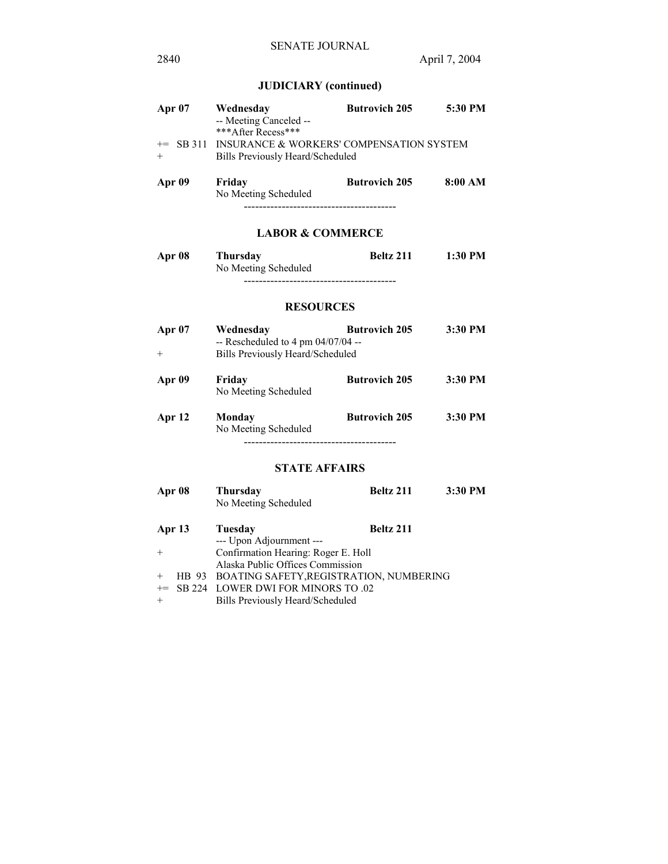# **JUDICIARY (continued)**

| Apr $07$    | Wednesday<br>-- Meeting Canceled --<br>***After Recess***                           | <b>Butrovich 205</b> | 5:30 PM |
|-------------|-------------------------------------------------------------------------------------|----------------------|---------|
| $+=$<br>$+$ | SB 311 INSURANCE & WORKERS' COMPENSATION SYSTEM<br>Bills Previously Heard/Scheduled |                      |         |
| Apr 09      | Friday<br>No Meeting Scheduled                                                      | <b>Butrovich 205</b> | 8:00 AM |

## **LABOR & COMMERCE**

| Apr 08 | <b>Thursday</b>      | Beltz 211 | 1:30 PM |
|--------|----------------------|-----------|---------|
|        | No Meeting Scheduled |           |         |
|        |                      |           |         |

## **RESOURCES**

| Apr 07<br>$^+$ | Wednesday<br>$-$ Rescheduled to 4 pm 04/07/04 $-$<br>Bills Previously Heard/Scheduled | <b>Butrovich 205</b> | 3:30 PM |
|----------------|---------------------------------------------------------------------------------------|----------------------|---------|
| Apr 09         | Friday<br>No Meeting Scheduled                                                        | <b>Butrovich 205</b> | 3:30 PM |
| Apr 12         | Monday<br>No Meeting Scheduled                                                        | <b>Butrovich 205</b> | 3:30 PM |

----------------------------------------

# **STATE AFFAIRS**

| <b>Apr 08</b> | <b>Thursday</b><br>No Meeting Scheduled                                 | Beltz 211        | 3:30 PM |
|---------------|-------------------------------------------------------------------------|------------------|---------|
| Apr 13        | Tuesday<br>--- Upon Adjournment ---                                     | <b>Beltz 211</b> |         |
| $+$           | Confirmation Hearing: Roger E. Holl<br>Alaska Public Offices Commission |                  |         |
| $+$           | HB 93 BOATING SAFETY, REGISTRATION, NUMBERING                           |                  |         |
| $+=$          | SB 224 LOWER DWI FOR MINORS TO .02                                      |                  |         |
| $^{+}$        | Bills Previously Heard/Scheduled                                        |                  |         |